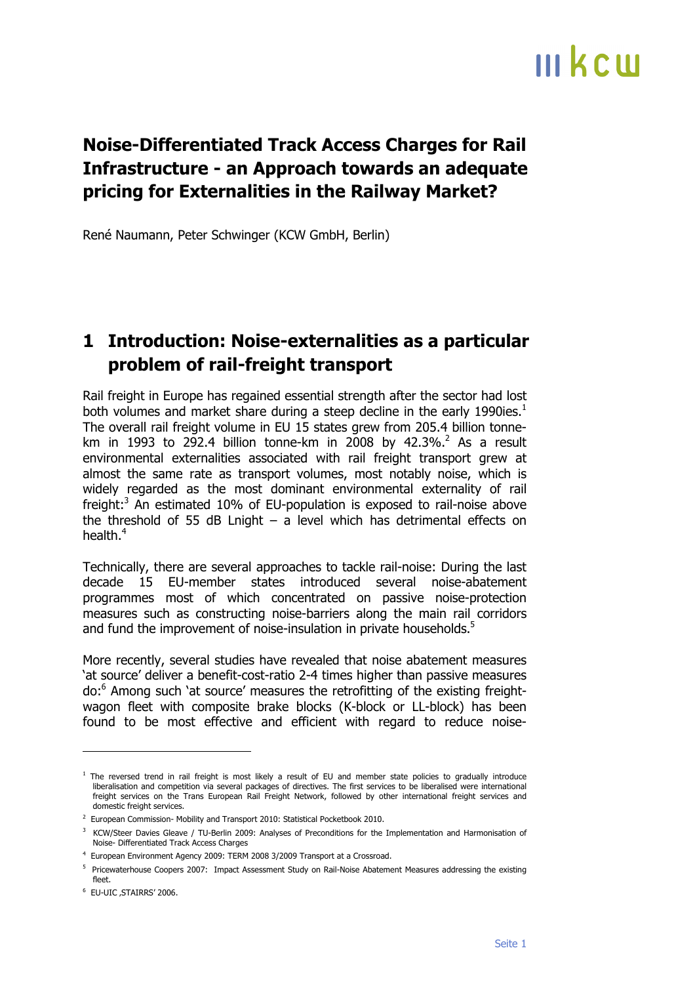#### **Noise-Differentiated Track Access Charges for Rail Infrastructure - an Approach towards an adequate pricing for Externalities in the Railway Market?**

René Naumann, Peter Schwinger (KCW GmbH, Berlin)

#### **1 Introduction: Noise-externalities as a particular problem of rail-freight transport**

Rail freight in Europe has regained essential strength after the sector had lost both volumes and market share during a steep decline in the early 1990ies.<sup>1</sup> The overall rail freight volume in EU 15 states grew from 205.4 billion tonnekm in 1993 to 292.4 billion tonne-km in 2008 by 42.3%.<sup>2</sup> As a result environmental externalities associated with rail freight transport grew at almost the same rate as transport volumes, most notably noise, which is widely regarded as the most dominant environmental externality of rail freight:<sup>3</sup> An estimated 10% of EU-population is exposed to rail-noise above the threshold of 55 dB Lnight – a level which has detrimental effects on health. $^4\,$ 

Technically, there are several approaches to tackle rail-noise: During the last decade 15 EU-member states introduced several noise-abatement programmes most of which concentrated on passive noise-protection measures such as constructing noise-barriers along the main rail corridors and fund the improvement of noise-insulation in private households.<sup>5</sup>

More recently, several studies have revealed that noise abatement measures 'at source' deliver a benefit-cost-ratio 2-4 times higher than passive measures do:6 Among such 'at source' measures the retrofitting of the existing freightwagon fleet with composite brake blocks (K-block or LL-block) has been found to be most effective and efficient with regard to reduce noise-

 $\overline{a}$ 

<sup>&</sup>lt;sup>1</sup> The reversed trend in rail freight is most likely a result of EU and member state policies to gradually introduce liberalisation and competition via several packages of directives. The first services to be liberalised were international freight services on the Trans European Rail Freight Network, followed by other international freight services and domestic freight services.

<sup>&</sup>lt;sup>2</sup> European Commission- Mobility and Transport 2010: Statistical Pocketbook 2010.

<sup>&</sup>lt;sup>3</sup> KCW/Steer Davies Gleave / TU-Berlin 2009: Analyses of Preconditions for the Implementation and Harmonisation of Noise- Differentiated Track Access Charges

<sup>&</sup>lt;sup>4</sup> European Environment Agency 2009: TERM 2008 3/2009 Transport at a Crossroad.

<sup>&</sup>lt;sup>5</sup> Pricewaterhouse Coopers 2007: Impact Assessment Study on Rail-Noise Abatement Measures addressing the existing fleet.

<sup>&</sup>lt;sup>6</sup> EU-UIC , STAIRRS' 2006.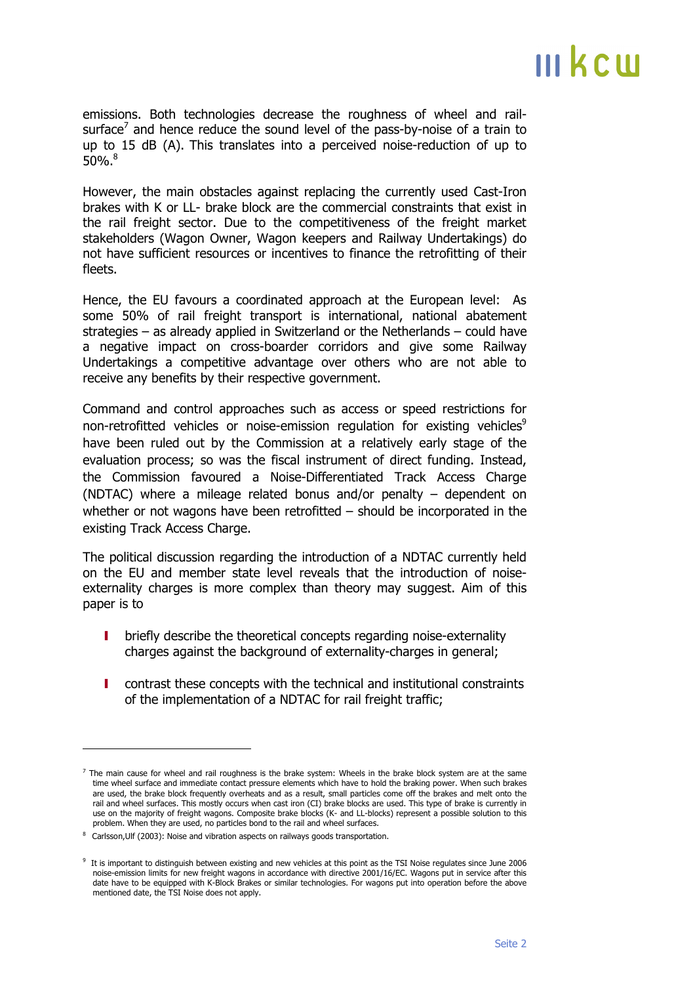emissions. Both technologies decrease the roughness of wheel and railsurface<sup>7</sup> and hence reduce the sound level of the pass-by-noise of a train to up to 15 dB (A). This translates into a perceived noise-reduction of up to  $50\%$ . $8$ 

However, the main obstacles against replacing the currently used Cast-Iron brakes with K or LL- brake block are the commercial constraints that exist in the rail freight sector. Due to the competitiveness of the freight market stakeholders (Wagon Owner, Wagon keepers and Railway Undertakings) do not have sufficient resources or incentives to finance the retrofitting of their fleets.

Hence, the EU favours a coordinated approach at the European level: As some 50% of rail freight transport is international, national abatement strategies – as already applied in Switzerland or the Netherlands – could have a negative impact on cross-boarder corridors and give some Railway Undertakings a competitive advantage over others who are not able to receive any benefits by their respective government.

Command and control approaches such as access or speed restrictions for non-retrofitted vehicles or noise-emission regulation for existing vehicles<sup>9</sup> have been ruled out by the Commission at a relatively early stage of the evaluation process; so was the fiscal instrument of direct funding. Instead, the Commission favoured a Noise-Differentiated Track Access Charge (NDTAC) where a mileage related bonus and/or penalty – dependent on whether or not wagons have been retrofitted – should be incorporated in the existing Track Access Charge.

The political discussion regarding the introduction of a NDTAC currently held on the EU and member state level reveals that the introduction of noiseexternality charges is more complex than theory may suggest. Aim of this paper is to

- I briefly describe the theoretical concepts regarding noise-externality charges against the background of externality-charges in general;
- I contrast these concepts with the technical and institutional constraints of the implementation of a NDTAC for rail freight traffic;

j

 $<sup>7</sup>$  The main cause for wheel and rail roughness is the brake system: Wheels in the brake block system are at the same</sup> time wheel surface and immediate contact pressure elements which have to hold the braking power. When such brakes are used, the brake block frequently overheats and as a result, small particles come off the brakes and melt onto the rail and wheel surfaces. This mostly occurs when cast iron (CI) brake blocks are used. This type of brake is currently in use on the majority of freight wagons. Composite brake blocks (K- and LL-blocks) represent a possible solution to this problem. When they are used, no particles bond to the rail and wheel surfaces.

<sup>&</sup>lt;sup>8</sup> Carlsson, Ulf (2003): Noise and vibration aspects on railways goods transportation.

<sup>&</sup>lt;sup>9</sup> It is important to distinguish between existing and new vehicles at this point as the TSI Noise regulates since June 2006 noise-emission limits for new freight wagons in accordance with directive 2001/16/EC. Wagons put in service after this date have to be equipped with K-Block Brakes or similar technologies. For wagons put into operation before the above mentioned date, the TSI Noise does not apply.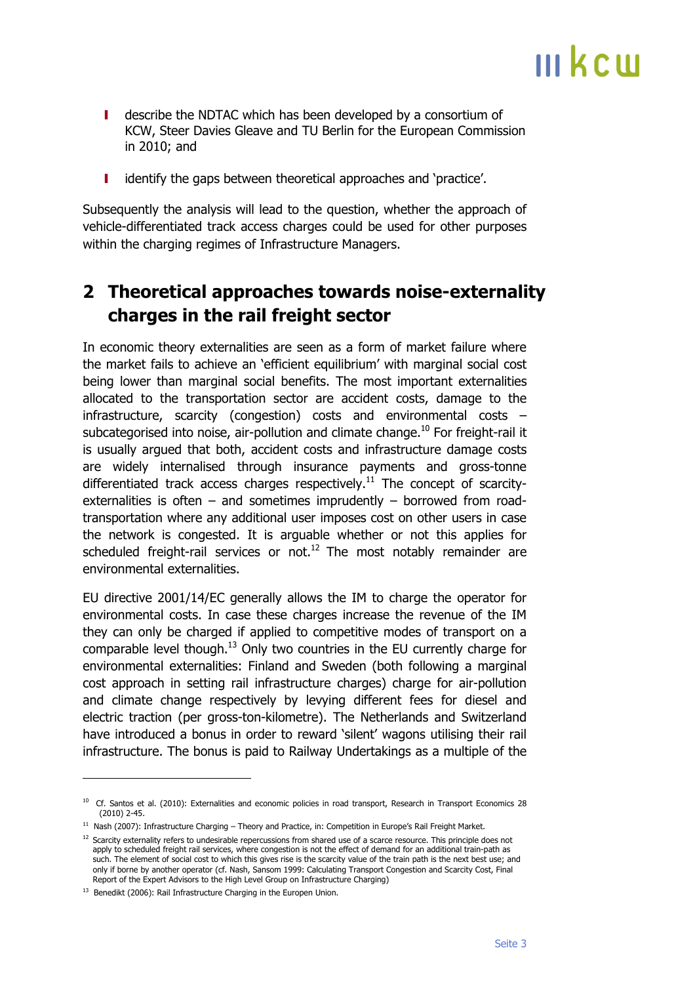- I describe the NDTAC which has been developed by a consortium of KCW, Steer Davies Gleave and TU Berlin for the European Commission in 2010; and
- I identify the gaps between theoretical approaches and 'practice'.

Subsequently the analysis will lead to the question, whether the approach of vehicle-differentiated track access charges could be used for other purposes within the charging regimes of Infrastructure Managers.

#### **2 Theoretical approaches towards noise-externality charges in the rail freight sector**

In economic theory externalities are seen as a form of market failure where the market fails to achieve an 'efficient equilibrium' with marginal social cost being lower than marginal social benefits. The most important externalities allocated to the transportation sector are accident costs, damage to the infrastructure, scarcity (congestion) costs and environmental costs – subcategorised into noise, air-pollution and climate change.<sup>10</sup> For freight-rail it is usually argued that both, accident costs and infrastructure damage costs are widely internalised through insurance payments and gross-tonne differentiated track access charges respectively.<sup>11</sup> The concept of scarcityexternalities is often  $-$  and sometimes imprudently  $-$  borrowed from roadtransportation where any additional user imposes cost on other users in case the network is congested. It is arguable whether or not this applies for scheduled freight-rail services or not.<sup>12</sup> The most notably remainder are environmental externalities.

EU directive 2001/14/EC generally allows the IM to charge the operator for environmental costs. In case these charges increase the revenue of the IM they can only be charged if applied to competitive modes of transport on a comparable level though. $13$  Only two countries in the EU currently charge for environmental externalities: Finland and Sweden (both following a marginal cost approach in setting rail infrastructure charges) charge for air-pollution and climate change respectively by levying different fees for diesel and electric traction (per gross-ton-kilometre). The Netherlands and Switzerland have introduced a bonus in order to reward 'silent' wagons utilising their rail infrastructure. The bonus is paid to Railway Undertakings as a multiple of the

j

<sup>&</sup>lt;sup>10</sup> Cf. Santos et al. (2010): Externalities and economic policies in road transport, Research in Transport Economics 28 (2010) 2-45.

 $11$  Nash (2007): Infrastructure Charging – Theory and Practice, in: Competition in Europe's Rail Freight Market.

<sup>&</sup>lt;sup>12</sup> Scarcity externality refers to undesirable repercussions from shared use of a scarce resource. This principle does not apply to scheduled freight rail services, where congestion is not the effect of demand for an additional train-path as such. The element of social cost to which this gives rise is the scarcity value of the train path is the next best use; and only if borne by another operator (cf. Nash, Sansom 1999: Calculating Transport Congestion and Scarcity Cost, Final Report of the Expert Advisors to the High Level Group on Infrastructure Charging)

<sup>&</sup>lt;sup>13</sup> Benedikt (2006): Rail Infrastructure Charging in the Europen Union.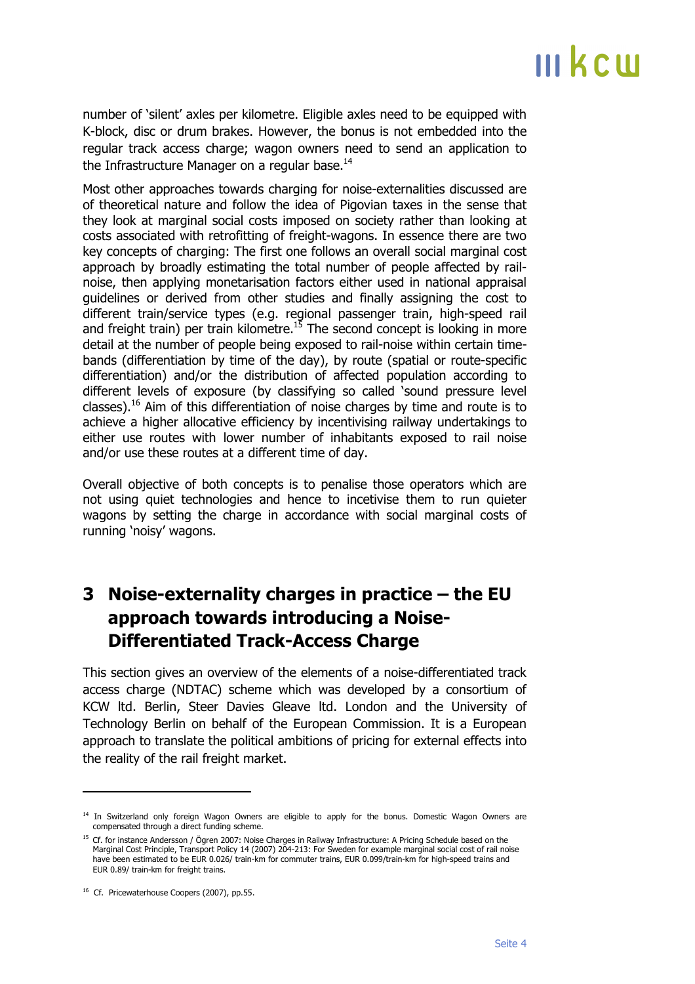number of 'silent' axles per kilometre. Eligible axles need to be equipped with K-block, disc or drum brakes. However, the bonus is not embedded into the regular track access charge; wagon owners need to send an application to the Infrastructure Manager on a regular base.<sup>14</sup>

Most other approaches towards charging for noise-externalities discussed are of theoretical nature and follow the idea of Pigovian taxes in the sense that they look at marginal social costs imposed on society rather than looking at costs associated with retrofitting of freight-wagons. In essence there are two key concepts of charging: The first one follows an overall social marginal cost approach by broadly estimating the total number of people affected by railnoise, then applying monetarisation factors either used in national appraisal guidelines or derived from other studies and finally assigning the cost to different train/service types (e.g. regional passenger train, high-speed rail and freight train) per train kilometre.<sup>15</sup> The second concept is looking in more detail at the number of people being exposed to rail-noise within certain timebands (differentiation by time of the day), by route (spatial or route-specific differentiation) and/or the distribution of affected population according to different levels of exposure (by classifying so called 'sound pressure level classes).<sup>16</sup> Aim of this differentiation of noise charges by time and route is to achieve a higher allocative efficiency by incentivising railway undertakings to either use routes with lower number of inhabitants exposed to rail noise and/or use these routes at a different time of day.

Overall objective of both concepts is to penalise those operators which are not using quiet technologies and hence to incetivise them to run quieter wagons by setting the charge in accordance with social marginal costs of running 'noisy' wagons.

#### **3 Noise-externality charges in practice – the EU approach towards introducing a Noise-Differentiated Track-Access Charge**

This section gives an overview of the elements of a noise-differentiated track access charge (NDTAC) scheme which was developed by a consortium of KCW ltd. Berlin, Steer Davies Gleave ltd. London and the University of Technology Berlin on behalf of the European Commission. It is a European approach to translate the political ambitions of pricing for external effects into the reality of the rail freight market.

 $\overline{a}$ 

<sup>&</sup>lt;sup>14</sup> In Switzerland only foreign Wagon Owners are eligible to apply for the bonus. Domestic Wagon Owners are compensated through a direct funding scheme.

<sup>&</sup>lt;sup>15</sup> Cf. for instance Andersson / Ögren 2007: Noise Charges in Railway Infrastructure: A Pricing Schedule based on the Marginal Cost Principle, Transport Policy 14 (2007) 204-213: For Sweden for example marginal social cost of rail noise have been estimated to be EUR 0.026/ train-km for commuter trains, EUR 0.099/train-km for high-speed trains and EUR 0.89/ train-km for freight trains.

<sup>&</sup>lt;sup>16</sup> Cf. Pricewaterhouse Coopers (2007), pp.55.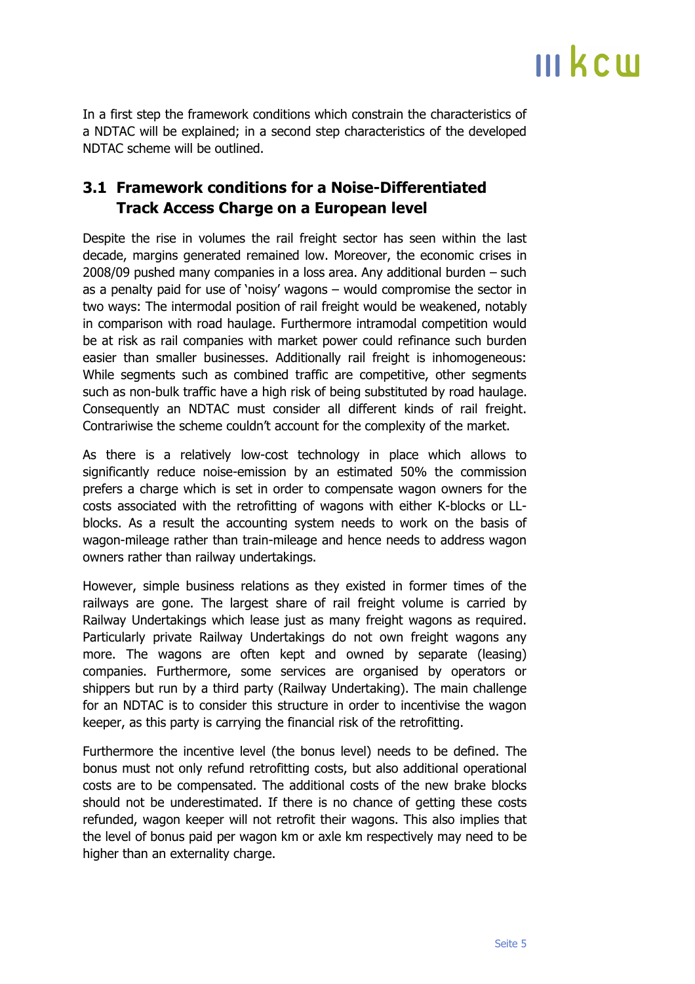In a first step the framework conditions which constrain the characteristics of a NDTAC will be explained; in a second step characteristics of the developed NDTAC scheme will be outlined.

#### **3.1 Framework conditions for a Noise-Differentiated Track Access Charge on a European level**

Despite the rise in volumes the rail freight sector has seen within the last decade, margins generated remained low. Moreover, the economic crises in 2008/09 pushed many companies in a loss area. Any additional burden – such as a penalty paid for use of 'noisy' wagons – would compromise the sector in two ways: The intermodal position of rail freight would be weakened, notably in comparison with road haulage. Furthermore intramodal competition would be at risk as rail companies with market power could refinance such burden easier than smaller businesses. Additionally rail freight is inhomogeneous: While segments such as combined traffic are competitive, other segments such as non-bulk traffic have a high risk of being substituted by road haulage. Consequently an NDTAC must consider all different kinds of rail freight. Contrariwise the scheme couldn't account for the complexity of the market.

As there is a relatively low-cost technology in place which allows to significantly reduce noise-emission by an estimated 50% the commission prefers a charge which is set in order to compensate wagon owners for the costs associated with the retrofitting of wagons with either K-blocks or LLblocks. As a result the accounting system needs to work on the basis of wagon-mileage rather than train-mileage and hence needs to address wagon owners rather than railway undertakings.

However, simple business relations as they existed in former times of the railways are gone. The largest share of rail freight volume is carried by Railway Undertakings which lease just as many freight wagons as required. Particularly private Railway Undertakings do not own freight wagons any more. The wagons are often kept and owned by separate (leasing) companies. Furthermore, some services are organised by operators or shippers but run by a third party (Railway Undertaking). The main challenge for an NDTAC is to consider this structure in order to incentivise the wagon keeper, as this party is carrying the financial risk of the retrofitting.

Furthermore the incentive level (the bonus level) needs to be defined. The bonus must not only refund retrofitting costs, but also additional operational costs are to be compensated. The additional costs of the new brake blocks should not be underestimated. If there is no chance of getting these costs refunded, wagon keeper will not retrofit their wagons. This also implies that the level of bonus paid per wagon km or axle km respectively may need to be higher than an externality charge.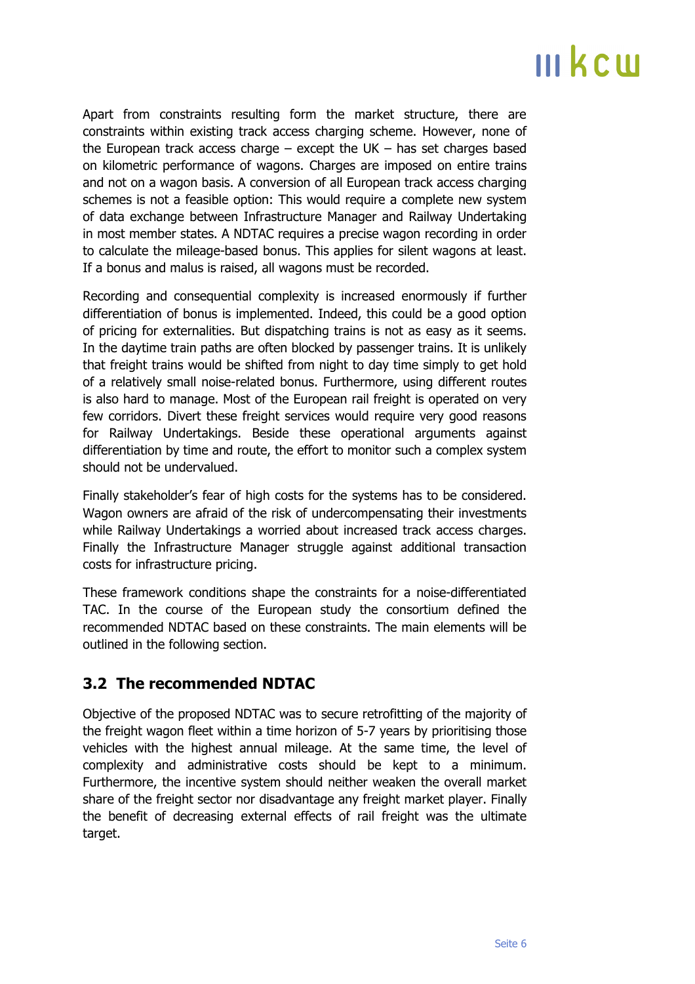Apart from constraints resulting form the market structure, there are constraints within existing track access charging scheme. However, none of the European track access charge  $-$  except the UK  $-$  has set charges based on kilometric performance of wagons. Charges are imposed on entire trains and not on a wagon basis. A conversion of all European track access charging schemes is not a feasible option: This would require a complete new system of data exchange between Infrastructure Manager and Railway Undertaking in most member states. A NDTAC requires a precise wagon recording in order to calculate the mileage-based bonus. This applies for silent wagons at least. If a bonus and malus is raised, all wagons must be recorded.

Recording and consequential complexity is increased enormously if further differentiation of bonus is implemented. Indeed, this could be a good option of pricing for externalities. But dispatching trains is not as easy as it seems. In the daytime train paths are often blocked by passenger trains. It is unlikely that freight trains would be shifted from night to day time simply to get hold of a relatively small noise-related bonus. Furthermore, using different routes is also hard to manage. Most of the European rail freight is operated on very few corridors. Divert these freight services would require very good reasons for Railway Undertakings. Beside these operational arguments against differentiation by time and route, the effort to monitor such a complex system should not be undervalued.

Finally stakeholder's fear of high costs for the systems has to be considered. Wagon owners are afraid of the risk of undercompensating their investments while Railway Undertakings a worried about increased track access charges. Finally the Infrastructure Manager struggle against additional transaction costs for infrastructure pricing.

These framework conditions shape the constraints for a noise-differentiated TAC. In the course of the European study the consortium defined the recommended NDTAC based on these constraints. The main elements will be outlined in the following section.

#### **3.2 The recommended NDTAC**

Objective of the proposed NDTAC was to secure retrofitting of the majority of the freight wagon fleet within a time horizon of 5-7 years by prioritising those vehicles with the highest annual mileage. At the same time, the level of complexity and administrative costs should be kept to a minimum. Furthermore, the incentive system should neither weaken the overall market share of the freight sector nor disadvantage any freight market player. Finally the benefit of decreasing external effects of rail freight was the ultimate target.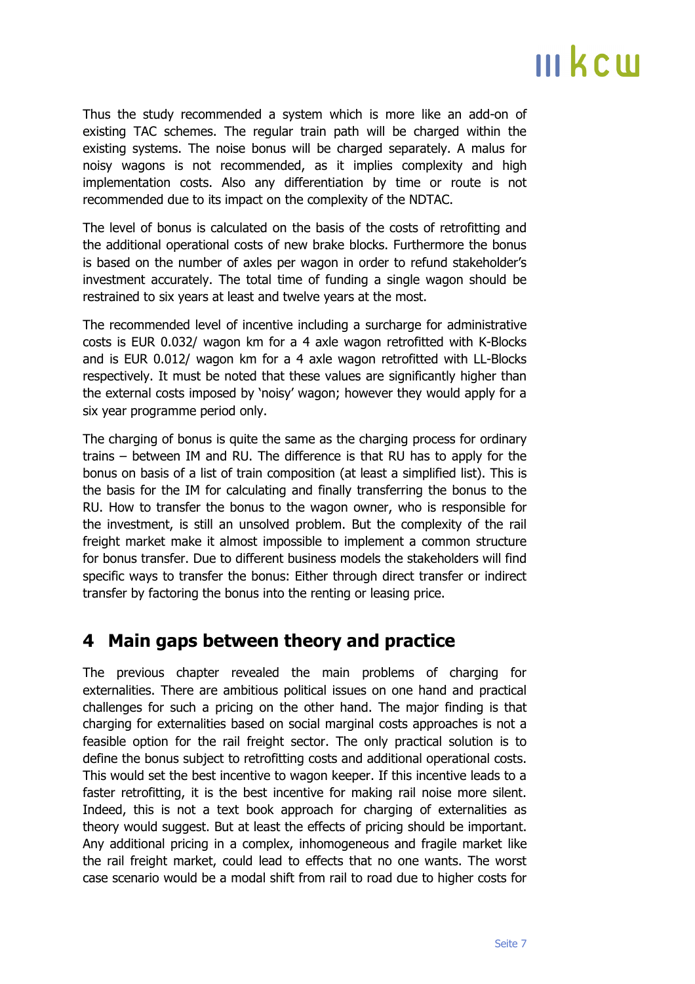Thus the study recommended a system which is more like an add-on of existing TAC schemes. The regular train path will be charged within the existing systems. The noise bonus will be charged separately. A malus for noisy wagons is not recommended, as it implies complexity and high implementation costs. Also any differentiation by time or route is not recommended due to its impact on the complexity of the NDTAC.

The level of bonus is calculated on the basis of the costs of retrofitting and the additional operational costs of new brake blocks. Furthermore the bonus is based on the number of axles per wagon in order to refund stakeholder's investment accurately. The total time of funding a single wagon should be restrained to six years at least and twelve years at the most.

The recommended level of incentive including a surcharge for administrative costs is EUR 0.032/ wagon km for a 4 axle wagon retrofitted with K-Blocks and is EUR 0.012/ wagon km for a 4 axle wagon retrofitted with LL-Blocks respectively. It must be noted that these values are significantly higher than the external costs imposed by 'noisy' wagon; however they would apply for a six year programme period only.

The charging of bonus is quite the same as the charging process for ordinary trains – between IM and RU. The difference is that RU has to apply for the bonus on basis of a list of train composition (at least a simplified list). This is the basis for the IM for calculating and finally transferring the bonus to the RU. How to transfer the bonus to the wagon owner, who is responsible for the investment, is still an unsolved problem. But the complexity of the rail freight market make it almost impossible to implement a common structure for bonus transfer. Due to different business models the stakeholders will find specific ways to transfer the bonus: Either through direct transfer or indirect transfer by factoring the bonus into the renting or leasing price.

#### **4 Main gaps between theory and practice**

The previous chapter revealed the main problems of charging for externalities. There are ambitious political issues on one hand and practical challenges for such a pricing on the other hand. The major finding is that charging for externalities based on social marginal costs approaches is not a feasible option for the rail freight sector. The only practical solution is to define the bonus subject to retrofitting costs and additional operational costs. This would set the best incentive to wagon keeper. If this incentive leads to a faster retrofitting, it is the best incentive for making rail noise more silent. Indeed, this is not a text book approach for charging of externalities as theory would suggest. But at least the effects of pricing should be important. Any additional pricing in a complex, inhomogeneous and fragile market like the rail freight market, could lead to effects that no one wants. The worst case scenario would be a modal shift from rail to road due to higher costs for